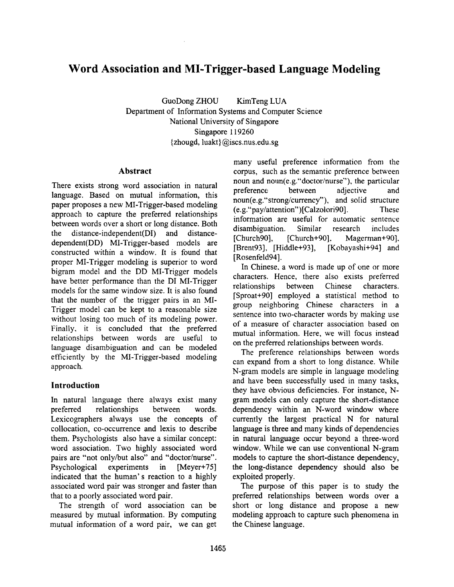# **Word Association and MI-Trigger-based Language Modeling**

GuoDong ZHOU KimTeng LUA Department of Information Systems and Computer Science National University of Singapore Singapore 119260 {zhougd, luakt} @iscs.nus.edu.sg

#### **Abstract**

There exists strong word association in natural language. Based on mutual information, this paper proposes a new MI-Trigger-based modeling approach to capture the preferred relationships between words over a short or long distance. Both the distance-independent(DI) and distancedependent(DD) MI-Trigger-based models **are**  constructed within a window. It is found that proper MI-Trigger modeling is superior to word bigram model and the DD MI-Trigger models have better performance than the DI MI-Trigger models for the same window size. It is also found that the number of the trigger pairs in an MI-Trigger model can be kept to a reasonable size without losing too much of its modeling power. Finally, it is concluded that the preferred relationships between words are useful to language disambiguation and can be modeled efficiently by the MI-Trigger-based modeling approach.

# **Introduction**

In natural language there always exist many preferred relationships between words. Lexicographers always use the concepts of collocation, co-occurrence and lexis to describe them. Psychologists also have a similar concept: word association. Two highly associated word pairs are "not only/but also" and "doctor/nurse". Psychological experiments in [Meyer+75] indicated that the human's reaction to a highly associated word pair was stronger and faster than that to a poorly associated word pair.

The strength of word association can be measured by mutual information. By computing mutual information of a word pair, we can get many useful preference information from the corpus, such as the semantic preference between noun and noun(e.g."doctor/nurse"), the particular preference between adjective and noun(e.g."strong/currency'), and solid structure (e.g."pay/attention")[Calzolori90]. These information are useful for automatic sentence disambiguation. Similar research includes [Church90], [Church+90], Magerman+90], [Brent93], [Hiddle+93], [Kobayashi+94] and [Rosenfeld94].

In Chinese, a word is made up of one or more characters. Hence, there also exists preferred relationships between Chinese characters. [Sproat+90] employed a statistical method to group neighboring Chinese characters in a sentence into two-character words by making use of a measure of character association based on mutual information. Here, we will focus instead on the preferred relationships between words.

The preference relationships between words can expand from a short to long distance. While N-gram models are simple in language modeling and have been successfully used in many tasks, they have obvious deficiencies. For instance, Ngram models can only capture the short-distance dependency within an N-word window where currently the largest practical N for natural language is three and many kinds of dependencies in natural language occur beyond a three-word window. While we can use conventional N-gram models to capture the short-distance dependency, **the** long-distance dependency should also be exploited properly.

The purpose of this paper is to study the preferred relationships between words over a short or long distance and propose a new modeling approach to capture such phenomena in the Chinese language.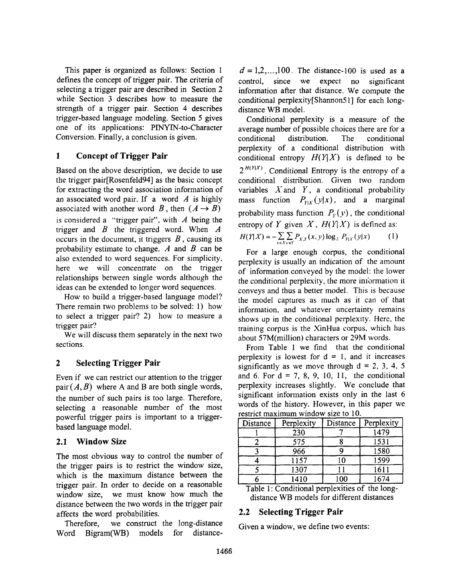This paper is organized as follows: Section 1 defines the concept of trigger pair. The criteria of selecting a trigger pair are described in Section 2 while Section 3 describes how to measure the strength of a trigger pair. Section 4 describes trigger-based language modeling. Section 5 gives one of its applications: PINYIN-to-Character Conversion. Finally, a conclusion is given.

# **1 Concept of Trigger Pair**

Based on the above description, we decide to use the trigger pair[Rosenfeld94] as the basic concept for extracting the word association information of an associated word pair. If a word  $\vec{A}$  is highly associated with another word B, then  $(A \rightarrow B)$ is considered a "trigger pair", with  $A$  being the trigger and  $\hat{B}$  the triggered word. When  $\hat{A}$ occurs in the document, it triggers  $B$ , causing its probability estimate to change.  $A$  and  $B$  can be also extended to word sequences. For simplicity. here we will concentrate on the trigger relationships between single words although the ideas can be extended to longer word sequences.

How to build a trigger-based language model? There remain two problems to be solved: 1) how to select a trigger pair? 2) how to measure a trigger pair'?

We will discuss them separately in the next two sections.

# **2 Selecting Trigger Pair**

Even if we can restrict our attention to the trigger pair  $(A, B)$  where A and B are both single words, the number of such pairs is too large. Therefore, selecting a reasonable number of the most powerful trigger pairs is important to a triggerbased language model.

#### **2.1 Window Size**

The most obvious way to control the number of the trigger pairs is to restrict the window size, which is the maximum distance between the trigger pair. In order to decide on a reasonable window size, we must know how much the distance between the two words in the trigger pair affects the word probabilities.

Therefore, we construct the long-distance Word Bigram(WB) models for distance-

 $d = 1, 2, \ldots, 100$ . The distance-100 is used as a control, since we expect no significant information after that distance. We compute the conditional perplexity[Shannon5 l] for each longdistance WB model.

Conditional perplexity is a measure of the average number of possible choices there are for a conditional distribution. The conditional perplexity of a conditional distribution with conditional entropy  $H(Y|X)$  is defined to be  $2^{H(Y|X)}$ . Conditional Entropy is the entropy of a conditional distribution. Given two random variables  $X$  and  $Y$ , a conditional probability mass function  $P_{Y|X}(y|x)$ , and a marginal probability mass function  $P_Y(y)$ , the conditional entropy of Y given  $X$ ,  $H(Y|X)$  is defined as:

$$
H(Y|X) = -\sum_{x \in X} \sum_{y \in Y} P_{X,Y}(x, y) \log_2 P_{Y|X}(y|x)
$$
 (1)

For a large enough corpus, the conditional perplexity is usually an indication of the amount of information conveyed by the model: the lower the conditional perplexity, the more imbrmation it conveys and thus a better model. This is because the model captures as much as it can of that information, and whatever uncertainty remains shows up in the conditional perplexity. Here, the training corpus is the XinHua corpus, which has about 57M(million) characters or 29M words.

From Table 1 we find that the conditional perplexity is lowest for  $d = 1$ , and it increases significantly as we move through  $d = 2, 3, 4, 5$ and 6. For  $d = 7, 8, 9, 10, 11$ , the conditional perplexity increases slightly. We conclude that significant information exists only in the last 6 words of the history. However, in this paper we restrict maximum window size to 10.

| Distance | Perplexity | Distance | Perplexity |
|----------|------------|----------|------------|
|          | 230        |          | 1479       |
|          | 575        |          | 1531       |
|          | 966        |          | 1580       |
|          | 1157       | 10       | 1599       |
|          | 1307       |          | 1611       |
|          | 1410       | 100      | 1674       |

Table 1: Conditional perplexities of the longdistance WB models for different distances

# **2.2 Selecting Trigger Pair**

Given a window, we define two events: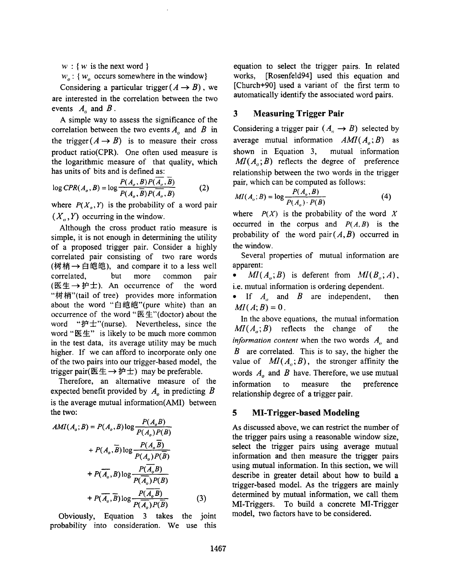$w : \{w \text{ is the next word }\}$ 

 $w_o$ : { $w_o$  occurs somewhere in the window}

Considering a particular trigger  $(A \rightarrow B)$ , we are interested in the correlation between the two events  $A_0$  and  $B$ .

A simple way to assess the significance of the correlation between the two events  $A_{\rho}$  and  $B$  in the trigger  $(A \rightarrow B)$  is to measure their cross product ratio(CPR). One often used measure is the logarithmic measure of that quality, which has units of bits and is defined as:

$$
\log CPR(A_o, B) = \log \frac{P(A_o, B)P(\overline{A_o}, \overline{B})}{P(A_o, \overline{B})P(\overline{A_o}, \overline{B})}
$$
(2)

where  $P(X_0, Y)$  is the probability of a word pair  $(X_{\alpha}, Y)$  occurring in the window.

Although the cross product ratio measure is simple, it is not enough in determining the utility of a proposed trigger pair. Consider a highly correlated pair consisting of two rare words (树梢→白皑皑), and compare it to a less well correlated, but more common pair (医生→护士). An occurrence of the word "树梢"(tail of tree) provides more information about the word "白皑皑"(pure white) than an occurrence of the word " $E \not\equiv$ "(doctor) about the word " $#±$ "(nurse). Nevertheless, since the word " $E#$ " is likely to be much more common in the test data, its average utility may be much higher. If we can afford to incorporate only one of the two pairs into our trigger-based model, the trigger pair( $(E \nleftrightarrow \vec{p} \nleftrightarrow)$  may be preferable.

Therefore, an alternative measure of the expected benefit provided by  $A<sub>o</sub>$  in predicting  $B$ is the average mutual information(AMI) between the two:

$$
AMI(A_o; B) = P(A_o, B) \log \frac{P(A_o, B)}{P(A_o)P(B)}
$$
  
+  $P(A_o, B) \log \frac{P(A_o, B)}{P(A_o)P(B)}$   
+  $P(\overline{A_o}, B) \log \frac{P(\overline{A_o}, B)}{P(\overline{A_o})P(B)}$   
+  $P(\overline{A_o}, B) \log \frac{P(\overline{A_o}, B)}{P(\overline{A_o})P(B)}$  (3)

Obviously, Equation 3 takes the joint probability into consideration. We use this

equation to select the trigger pairs. In related works, [Rosenfeld94] used this equation and [Church+90] used a variant of the first term to automatically identify the associated word pairs.

#### **3 Measuring Trigger Pair**

Considering a trigger pair  $(A_n \rightarrow B)$  selected by average mutual information  $AMI(A<sub>a</sub>; B)$  as shown in Equation 3, mutual information  $MI(A_i; B)$  reflects the degree of preference relationship between the two words in the trigger pair, which can be computed as follows:

$$
MI(A_o; B) = \log \frac{P(A_o, B)}{P(A_o) \cdot P(B)}
$$
(4)

where  $P(X)$  is the probability of the word X occurred in the corpus and  $P(A, B)$  is the probability of the word pair $(A, B)$  occurred in the window.

Several properties of mutual information are apparent:

•  $MI(A_{\alpha};B)$  is deferent from  $MI(B_{\alpha};A)$ , i.e. mutual information is ordering dependent.

• If  $A_{\sigma}$  and  $B$  are independent, then  $MI(A; B) = 0$ .

In the above equations, the mutual information  $MI(A_a; B)$  reflects the change of the *information content* when the two words  $A_n$  and  $B$  are correlated. This is to say, the higher the value of  $MI(A_o; B)$ , the stronger affinity the words  $A<sub>o</sub>$  and  $B$  have. Therefore, we use mutual information to measure the preference relationship degree of a trigger pair.

#### **5 MI-Trigger-based Modeling**

As discussed above, we can restrict the number of the trigger pairs using a reasonable window size, select the trigger pairs using average mutual information and then measure the trigger pairs using mutual information. In this section, we will describe in greater detail about how to build a trigger-based model. As the triggers are mainly determined by mutual information, we call them MI-Triggers. To build a concrete MI-Trigger model, two factors have to be considered.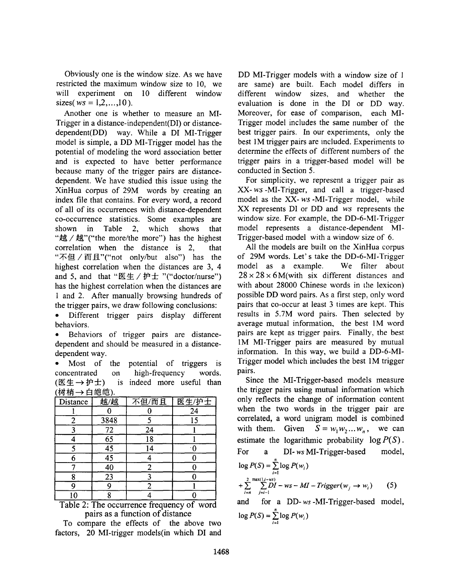Obviously one is the window size. As we have restricted the maximum window size to 10, we will experiment on 10 different window sizes( $ws = 1, 2, ..., 10$ ).

Another one is whether to measure an MI-Trigger in a distance-independent(DI) or distancedependent(DD) way. While a DI MI-Trigger model is simple, a DD MI-Trigger model has the potential of modeling the word association better and is expected to have better performance because many of the trigger pairs are distancedependent. We have studied this issue using the XinHua corpus of 29M words by creating an index file that contains. For every word, a record of all of its occurrences with distance-dependent co-occurrence statistics. Some examples are shown in Table 2, which shows that "越/越"("the more/the more") has the highest correlation when the distance is 2, that "不但 / 而且"("not only/but also") has the highest correlation when the distances are 3, 4 and 5, and that " $E \not\equiv \angle \mathbf{r} \not\equiv$  "("doctor/nurse") has the highest correlation when the distances are 1 and 2. After manually browsing hundreds of the trigger pairs, we draw following conclusions:

Different trigger pairs display different behaviors.

. Behaviors of trigger pairs are distancedependent and should be measured in a distancedependent way.

Most of the potential of triggers is concentrated on high-frequency words. (医生→护士) is indeed more useful than (树梢→白皑皑)

| <b>1999</b><br>Distance | 越/越             | 不但/而且 | 医生/护士 |
|-------------------------|-----------------|-------|-------|
|                         |                 |       | 24    |
| 2                       | 3848            |       | 15    |
|                         | $\overline{72}$ | 24    |       |
|                         | 65              | 18    |       |
|                         | $\overline{45}$ | 14    |       |
| 6                       | $\overline{45}$ |       |       |
|                         | $\overline{40}$ | 2     |       |
| Ջ                       | $\overline{23}$ |       |       |
| Q                       |                 | 2     |       |
| l0                      |                 |       |       |

Table 2: The occurrence frequency of word pairs as a function of distance

To compare the effects of the above two factors, 20 MI-trigger models(in which DI and DD MI-Trigger models with a window size of 1 are same) are built. Each model differs in different window sizes, and whether the evaluation is done in the DI or DD way. Moreover, for ease of comparison, each MI-Trigger model includes the same number of the best trigger pairs. In our experiments, only the best 1M trigger pairs are included. Experiments to determine the effects of different numbers of the trigger pairs in a trigger-based model will be conducted in Section 5.

For simplicity, we represent a trigger pair as *XX-ws-MI-Trigger,* and call a trigger-based model as the XX-ws-MI-Trigger model, while XX represents DI or DD and ws represents the window size. For example, the DD-6-MI-Trigger model represents a distance-dependent MI-Trigger-based model with a window size of 6.

All the models are built on the XinHua corpus of 29M words. Let's take the DD-6-MI-Trigger model as a example. We filter about  $28 \times 28 \times 6$ M(with six different distances and with about 28000 Chinese words in the lexicon) possible DD word pairs. As a first step, only word pairs that co-occur at least 3 times are kept. This results in 5.7M word pairs. Then selected by average mutual information, the best IM word pairs are kept as trigger pairs. Finally, the best 1M MI-Trigger pairs are measured by mutual information. In this way, we build a DD-6-MI-Trigger model which includes the best 1M trigger pairs.

Since the MI-Trigger-based models measure the trigger pairs using mutual information which only reflects the change of information content when the two words in the trigger pair are correlated, a word unigram model is combined with them. Given  $S = w_1w_2...w_n$ , we can estimate the logarithmic probability  $log P(S)$ . For a DI- *ws* MI-Trigger-based model,  $\log P(S) = \sum_{i=1}^{n} \log P(w_i)$  $+\sum_{i=n}^{2} \sum_{j=i-1}^{\max(1,i-ws)} DI-ws-MI-Trigger(w_j \to w_i)$  (5) and for a DD-ws-MI-Trigger-based model,

$$
\log P(S) = \sum_{i=1}^{n} \log P(w_i)
$$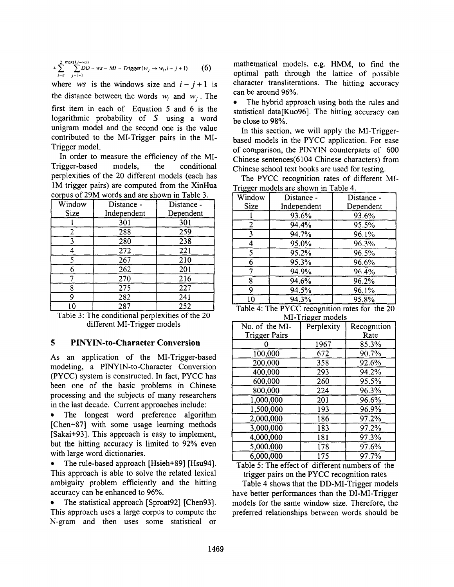$$
+\sum_{i=n}^{2}\sum_{j=i-1}^{\max(1,j-ws)}DD-ws-Ml-Trigger(w_j\rightarrow w_i,i-j+1)
$$
 (6)

where *ws* is the windows size and  $i - j + 1$  is the distance between the words  $w_i$  and  $w_i$ . The first item in each of Equation 5 and 6 is the logarithmic probability of  $S$  using a word unigram model and the second one is the value contributed to the MI-Trigger pairs in the MI-Trigger model.

In order to measure the efficiency of the MI-Trigger-based models, the conditional perplexities of the 20 different models (each has 1M trigger pairs) are computed from the XinHua corpus of 29M words and are shown in Table 3.

| Window      | Distance -  | Distance - |
|-------------|-------------|------------|
| <b>Size</b> | Independent | Dependent  |
|             | 301         | 301        |
| 2           | 288         | 259        |
| 3           | 280         | 238        |
|             | 272         | 221        |
| 5           | 267         | 210        |
|             | 262         | 201        |
|             | 270         | 216        |
| 8           | 275         | 227        |
| Q           | 282         | 241        |
| 10          | 287         | 252        |

Table 3: The conditional perplexities of the 20 different MI-Trigger models

# 5 PINYIN-to-Charaeter **Conversion**

As an application of the MI-Trigger-based modeling, a PINYIN-to-Character Conversion (PYCC) system is constructed. In fact, PYCC has been one of the basic problems in Chinese processing and the subjects of many researchers in the last decade. Current approaches include:

The longest word preference algorithm [Chen+87] with some usage learning methods [Sakai+93]. This approach is easy to implement, but the hitting accuracy is limited to 92% even with large word dictionaries.

• The rule-based approach [Hsieh+89] [Hsu94]. This approach is able to solve the related lexical ambiguity problem efficiently and the hitting accuracy can be enhanced to 96%.

The statistical approach [Sproat92] [Chen93]. This approach uses a large corpus to compute the N-gram and then uses some statistical or mathematical models, e.g. HMM, to find the optimal path through the lattice of possible character transliterations. The hitting accuracy can be around 96%.

The hybrid approach using both the rules and statistical data[Kuo96]. The hitting accuracy can be close to 98%.

In this section, we will apply the MI-Triggerbased models in the PYCC application. For ease of comparison, the PINYIN counterparts of 600 Chinese sentences(6104 Chinese characters) from Chinese school text books are used for testing.

The PYCC recognition rates of different MI-Trigger models are shown in Table 4.

| °00.        |             |            |
|-------------|-------------|------------|
| Window      | Distance -  | Distance - |
| <b>Size</b> | Independent | Dependent  |
|             | 93.6%       | 93.6%      |
| 2           | 94.4%       | 95.5%      |
| 3           | 94.7%       | 96.1%      |
| 4           | 95.0%       | 96.3%      |
| 5           | 95.2%       | 96.5%      |
| 6           | 95.3%       | 96.6%      |
|             | 94.9%       | 96.4%      |
| 8           | 94.6%       | 96.2%      |
| 9           | 94.5%       | 96.1%      |
| 10          | 94.3%       | 95.8%      |
|             |             |            |

Table 4: The PYCC recognition rates for the 20 MI-Trigger models

| No. of the MI-       | Perplexity | Recognition |
|----------------------|------------|-------------|
| <b>Trigger Pairs</b> |            | Rate        |
|                      | 1967       | 85.3%       |
| 100,000              | 672        | 90.7%       |
| 200,000              | 358        | 92.6%       |
| 400,000              | 293        | 94.2%       |
| 600,000              | 260        | 95.5%       |
| 800,000              | 224        | 96.3%       |
| 1,000,000            | 201        | 96.6%       |
| 1,500,000            | 193        | 96.9%       |
| 2,000,000            | 186        | 97.2%       |
| 3,000,000            | 183        | 97.2%       |
| 4,000,000            | 181        | 97.3%       |
| 5,000,000            | 178        | 97.6%       |
| 6,000,000            | 175        | 97.7%       |

Table 5: The effect of different numbers of the trigger pairs on the PYCC recognition rates

Table 4 shows that the DD-MI-Trigger models have better performances than the DI-MI-Trigger models for the same window size. Therefore, the preferred relationships between words should be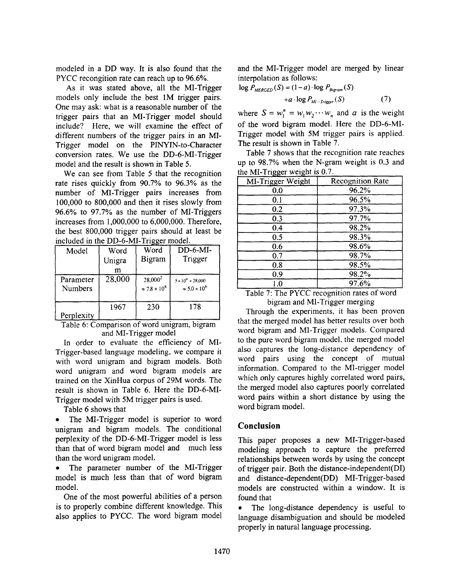modeled in a DD way. It is also found that the PYCC recongition rate can reach up to 96.6%.

As it was stated above, all the MI-Trigger models only include the best 1M trigger pairs. One may ask: what is a reasonable number of the trigger pairs that an MI-Trigger model should include? Here, we will examine the effect of different numbers of the trigger pairs in an MI-Trigger model on the PINYIN-to-Character conversion rates. We use the DD-6-MI-Trigger model and the result is shown in Table 5.

We can see from Table 5 that the recognition rate rises quickly from 90.7% to 96.3% as the number of MI-Trigger pairs increases from 100,000 to 800,000 and then it rises slowly from 96.6% to 97.7% as the number of MI-Triggers increases from 1,000,000 to 6,000,000. Therefore, the best 800,000 trigger pairs should at least be included in the DD-6-MI-Trigger model.

| Model                       | Word<br>Unigra<br>m | Word<br>Bigram                          | $DD-6-MI-$<br>Trigger                                   |
|-----------------------------|---------------------|-----------------------------------------|---------------------------------------------------------|
| Parameter<br><b>Numbers</b> | 28,000              | $28,000^2$<br>$\approx 7.8 \times 10^8$ | $5 \times 10^{6} + 28,000$<br>$\approx 5.0 \times 10^6$ |
| Perplexity                  | 1967                | 230                                     | 178                                                     |

Table 6: Comparison of word umgram, bigram and MI-Trigger model

In order to evaluate the efficiency of MI-Trigger-based language modeling, we compare it with word unigram and bigram models. Both word unigram and word bigram models are trained on the XinHua corpus of 29M words. The result is shown in Table 6. Here the DD-6-MI-Trigger model with 5M trigger pairs is used.

Table 6 shows that

• The MI-Trigger model is superior to word unigram and bigram models. The conditional perplexity of the DD-6-MI-Trigger model is less than that of word bigram model and much less than the word unigram model.

The parameter number of the MI-Trigger model is much less than that of word bigram model.

One of the most powerful abilities of a person is to properly combine different knowledge. This also applies to PYCC. The word bigram model and the MI-Trigger model are merged by linear interpolation as follows:

 $log P_{MERGED}(S) = (1-a) \cdot log P_{Bieram}(S)$  $+a \cdot \log P_{Mt-Trigger}(S)$  (7)

where  $S = w_1^n = w_1 w_2 \cdots w_n$  and *a* is the weight of the word bigram model. Here the DD-6-MI-Trigger model with 5M trigger pairs is applied. The result is shown in Table 7.

Table 7 shows that the recognition rate reaches up to 98.7% when the N-gram weight is 0.3 and the MI-Trigger weight is 0.7.

| MI-Trigger Weight | <b>Recognition Rate</b> |
|-------------------|-------------------------|
| 0.0               | 96.2%                   |
| 0.1               | 96.5%                   |
| 0.2               | 97.3%                   |
| 0.3               | 97.7%                   |
| 0.4               | 98.2%                   |
| 0.5               | 98.3%                   |
| 0.6               | 98.6%                   |
| 0.7               | 98.7%                   |
| 0.8               | 98.5%                   |
| 0.9               | 98.2%                   |
| 1.0               | 97.6%                   |
|                   |                         |

Table 7: The PYCC recognition rates of word bigram and MI-Trigger merging

Through the experiments, it has been proven that the merged model has better results over both word bigram and Ml-Trigger models. Compared to the pure word bigram model, the merged model also captures the long-distance dependency of word pairs using the concept of mutual information. Compared to the MI-trigger model which only captures highly correlated word pairs, the merged model also captures poorly correlated word pairs within a short distance by using the word bigram model.

# **Conclusion**

This paper proposes a new MI-Trigger-based modeling approach to capture the preferred relationships between words by using the concept of trigger pair. Both the distance-independent(DI) and distance-dependent(DD) MI-Trigger-based models are constructed within a window. It is found that

The long-distance dependency is useful to language disambiguation and should be modeled properly in natural language processing.